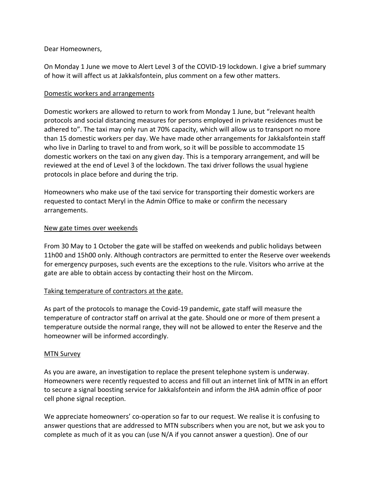### Dear Homeowners,

On Monday 1 June we move to Alert Level 3 of the COVID-19 lockdown. I give a brief summary of how it will affect us at Jakkalsfontein, plus comment on a few other matters.

### Domestic workers and arrangements

Domestic workers are allowed to return to work from Monday 1 June, but "relevant health protocols and social distancing measures for persons employed in private residences must be adhered to". The taxi may only run at 70% capacity, which will allow us to transport no more than 15 domestic workers per day. We have made other arrangements for Jakkalsfontein staff who live in Darling to travel to and from work, so it will be possible to accommodate 15 domestic workers on the taxi on any given day. This is a temporary arrangement, and will be reviewed at the end of Level 3 of the lockdown. The taxi driver follows the usual hygiene protocols in place before and during the trip.

Homeowners who make use of the taxi service for transporting their domestic workers are requested to contact Meryl in the Admin Office to make or confirm the necessary arrangements.

## New gate times over weekends

From 30 May to 1 October the gate will be staffed on weekends and public holidays between 11h00 and 15h00 only. Although contractors are permitted to enter the Reserve over weekends for emergency purposes, such events are the exceptions to the rule. Visitors who arrive at the gate are able to obtain access by contacting their host on the Mircom.

# Taking temperature of contractors at the gate.

As part of the protocols to manage the Covid-19 pandemic, gate staff will measure the temperature of contractor staff on arrival at the gate. Should one or more of them present a temperature outside the normal range, they will not be allowed to enter the Reserve and the homeowner will be informed accordingly.

### MTN Survey

As you are aware, an investigation to replace the present telephone system is underway. Homeowners were recently requested to access and fill out an internet link of MTN in an effort to secure a signal boosting service for Jakkalsfontein and inform the JHA admin office of poor cell phone signal reception.

We appreciate homeowners' co-operation so far to our request. We realise it is confusing to answer questions that are addressed to MTN subscribers when you are not, but we ask you to complete as much of it as you can (use N/A if you cannot answer a question). One of our